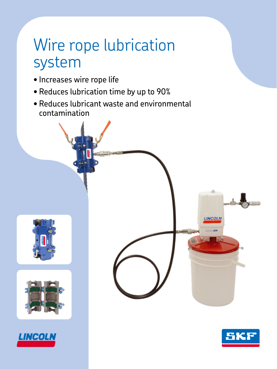# Wire rope lubrication system

- Increases wire rope life
- Reduces lubrication time by up to 90%
- Reduces lubricant waste and environmental contamination









άh

**LINCOLN**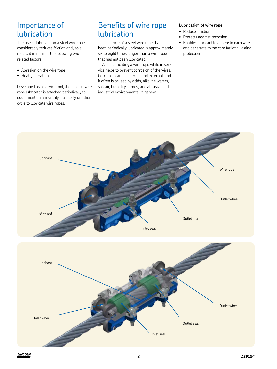## Importance of lubrication

The use of lubricant on a steel wire rope considerably reduces friction and, as a result, it minimizes the following two related factors:

- Abrasion on the wire rope
- Heat generation

Developed as a service tool, the Lincoln wire rope lubricator is attached periodically to equipment on a monthly, quarterly or other cycle to lubricate wire ropes.

## Benefits of wire rope lubrication

The life cycle of a steel wire rope that has been periodically lubricated is approximately six to eight times longer than a wire rope that has not been lubricated.

Also, lubricating a wire rope while in service helps to prevent corrosion of the wires. Corrosion can be internal and external, and it often is caused by acids, alkaline waters, salt air, humidity, fumes, and abrasive and industrial environments, in general.

#### **Lubrication of wire rope:**

- Reduces friction
- Protects against corrosion
- Enables lubricant to adhere to each wire and penetrate to the core for long-lasting protection



**2**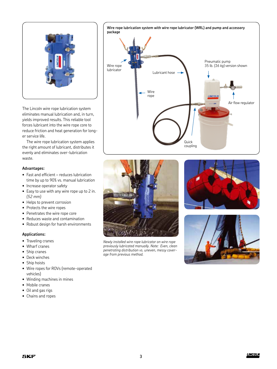

The Lincoln wire rope lubrication system eliminates manual lubrication and, in turn, yields improved results. This reliable tool forces lubricant into the wire rope core to reduce friction and heat generation for longer service life.

The wire rope lubrication system applies the right amount of lubricant, distributes it evenly and eliminates over-lubrication waste.

#### **Advantages:**

- Fast and efficient reduces lubrication time by up to 90% vs. manual lubrication
- Increase operator safety
- Easy to use with any wire rope up to 2 in. *(52 mm)*
- Helps to prevent corrosion
- Protects the wire ropes
- Penetrates the wire rope core
- Reduces waste and contamination
- Robust design for harsh environments

#### **Applications:**

- Traveling cranes
- Wharf cranes
- Ship cranes
- Deck winches
- Ship hoists
- Wire ropes for ROVs (remote-operated vehicles)
- Winding machines in mines
- Mobile cranes
- Oil and gas rigs
- Chains and ropes





*Newly installed wire rope lubricator on wire rope previously lubricated manually. Note: Even, clean penetrating distribution vs. uneven, messy coverage from previous method.*